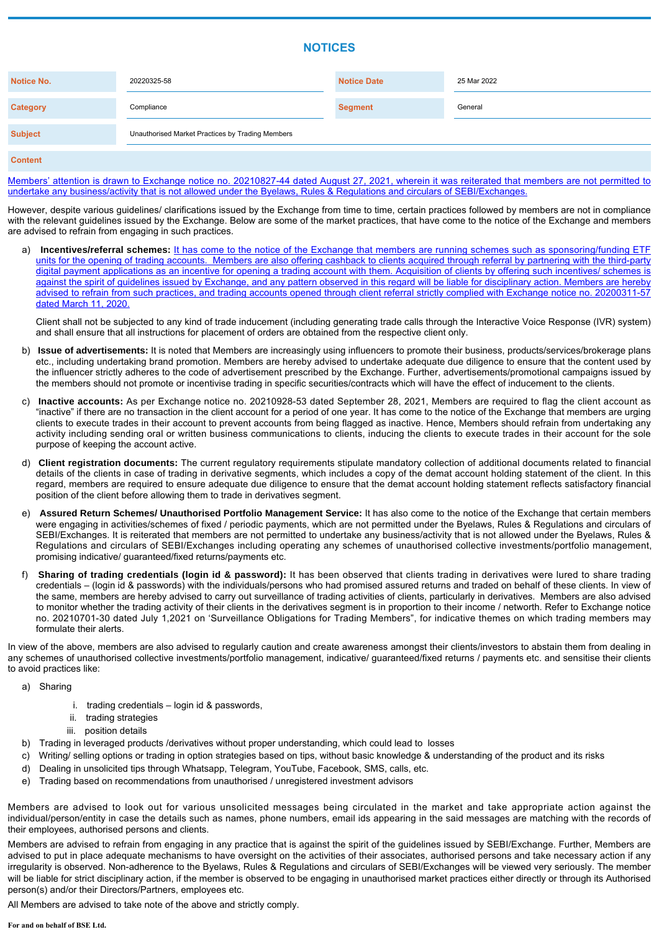## **NOTICES**

| <b>Notice No.</b> | 20220325-58                                      | <b>Notice Date</b> | 25 Mar 2022 |
|-------------------|--------------------------------------------------|--------------------|-------------|
| <b>Category</b>   | Compliance                                       | <b>Segment</b>     | General     |
| <b>Subject</b>    | Unauthorised Market Practices by Trading Members |                    |             |

## **Content**

Members' attention is drawn to Exchange notice no. 20210827-44 dated August 27, 2021, wherein it was reiterated that members are not permitted to undertake any business/activity that is not allowed under the Byelaws, Rules & Regulations and circulars of SEBI/Exchanges.

However, despite various guidelines/ clarifications issued by the Exchange from time to time, certain practices followed by members are not in compliance with the relevant guidelines issued by the Exchange. Below are some of the market practices, that have come to the notice of the Exchange and members are advised to refrain from engaging in such practices.

a) **Incentives/referral schemes:** It has come to the notice of the Exchange that members are running schemes such as sponsoring/funding ETF units for the opening of trading accounts. Members are also offering cashback to clients acquired through referral by partnering with the third-party digital payment applications as an incentive for opening a trading account with them. Acquisition of clients by offering such incentives/ schemes is against the spirit of guidelines issued by Exchange, and any pattern observed in this regard will be liable for disciplinary action. Members are hereby advised to refrain from such practices, and trading accounts opened through client referral strictly complied with Exchange notice no. 20200311-57 dated March 11, 2020.

Client shall not be subjected to any kind of trade inducement (including generating trade calls through the Interactive Voice Response (IVR) system) and shall ensure that all instructions for placement of orders are obtained from the respective client only.

- b) **Issue of advertisements:** It is noted that Members are increasingly using influencers to promote their business, products/services/brokerage plans etc., including undertaking brand promotion. Members are hereby advised to undertake adequate due diligence to ensure that the content used by the influencer strictly adheres to the code of advertisement prescribed by the Exchange. Further, advertisements/promotional campaigns issued by the members should not promote or incentivise trading in specific securities/contracts which will have the effect of inducement to the clients.
- c) **Inactive accounts:** As per Exchange notice no. 20210928-53 dated September 28, 2021, Members are required to flag the client account as "inactive" if there are no transaction in the client account for a period of one year. It has come to the notice of the Exchange that members are urging clients to execute trades in their account to prevent accounts from being flagged as inactive. Hence, Members should refrain from undertaking any activity including sending oral or written business communications to clients, inducing the clients to execute trades in their account for the sole purpose of keeping the account active.
- d) **Client registration documents:** The current regulatory requirements stipulate mandatory collection of additional documents related to financial details of the clients in case of trading in derivative segments, which includes a copy of the demat account holding statement of the client. In this regard, members are required to ensure adequate due diligence to ensure that the demat account holding statement reflects satisfactory financial position of the client before allowing them to trade in derivatives segment.
- e) **Assured Return Schemes/ Unauthorised Portfolio Management Service:** It has also come to the notice of the Exchange that certain members were engaging in activities/schemes of fixed / periodic payments, which are not permitted under the Byelaws, Rules & Regulations and circulars of SEBI/Exchanges. It is reiterated that members are not permitted to undertake any business/activity that is not allowed under the Byelaws, Rules & Regulations and circulars of SEBI/Exchanges including operating any schemes of unauthorised collective investments/portfolio management, promising indicative/ guaranteed/fixed returns/payments etc.
- f) **Sharing of trading credentials (login id & password):** It has been observed that clients trading in derivatives were lured to share trading credentials – (login id & passwords) with the individuals/persons who had promised assured returns and traded on behalf of these clients. In view of the same, members are hereby advised to carry out surveillance of trading activities of clients, particularly in derivatives. Members are also advised to monitor whether the trading activity of their clients in the derivatives segment is in proportion to their income / networth. Refer to Exchange notice no. 20210701-30 dated July 1,2021 on 'Surveillance Obligations for Trading Members", for indicative themes on which trading members may formulate their alerts.

In view of the above, members are also advised to regularly caution and create awareness amongst their clients/investors to abstain them from dealing in any schemes of unauthorised collective investments/portfolio management, indicative/ guaranteed/fixed returns / payments etc. and sensitise their clients to avoid practices like:

- a) Sharing
	- - i. trading credentials login id & passwords,
		- ii. trading strategies
		- iii. position details
- b) Trading in leveraged products /derivatives without proper understanding, which could lead to losses
- c) Writing/ selling options or trading in option strategies based on tips, without basic knowledge & understanding of the product and its risks
- d) Dealing in unsolicited tips through Whatsapp, Telegram, YouTube, Facebook, SMS, calls, etc.
- e) Trading based on recommendations from unauthorised / unregistered investment advisors

Members are advised to look out for various unsolicited messages being circulated in the market and take appropriate action against the individual/person/entity in case the details such as names, phone numbers, email ids appearing in the said messages are matching with the records of their employees, authorised persons and clients.

Members are advised to refrain from engaging in any practice that is against the spirit of the guidelines issued by SEBI/Exchange. Further, Members are advised to put in place adequate mechanisms to have oversight on the activities of their associates, authorised persons and take necessary action if any irregularity is observed. Non-adherence to the Byelaws, Rules & Regulations and circulars of SEBI/Exchanges will be viewed very seriously. The member will be liable for strict disciplinary action, if the member is observed to be engaging in unauthorised market practices either directly or through its Authorised person(s) and/or their Directors/Partners, employees etc.

All Members are advised to take note of the above and strictly comply.

## **For and on behalf of BSE Ltd.**